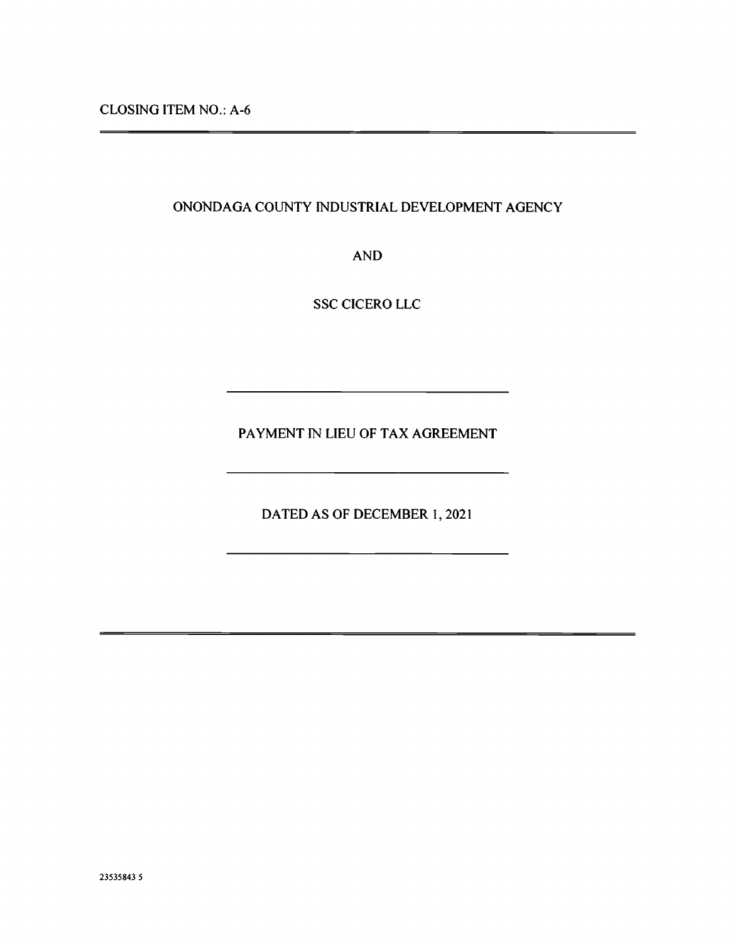# ONONDAGA COUNTY INDUSTRIAL DEVELOPMENT AGENCY

AND

SSC CICERO LLC

PAYMENT IN LIEU OF TAX AGREEMENT

DATED AS OF DECEMBER 1, 2021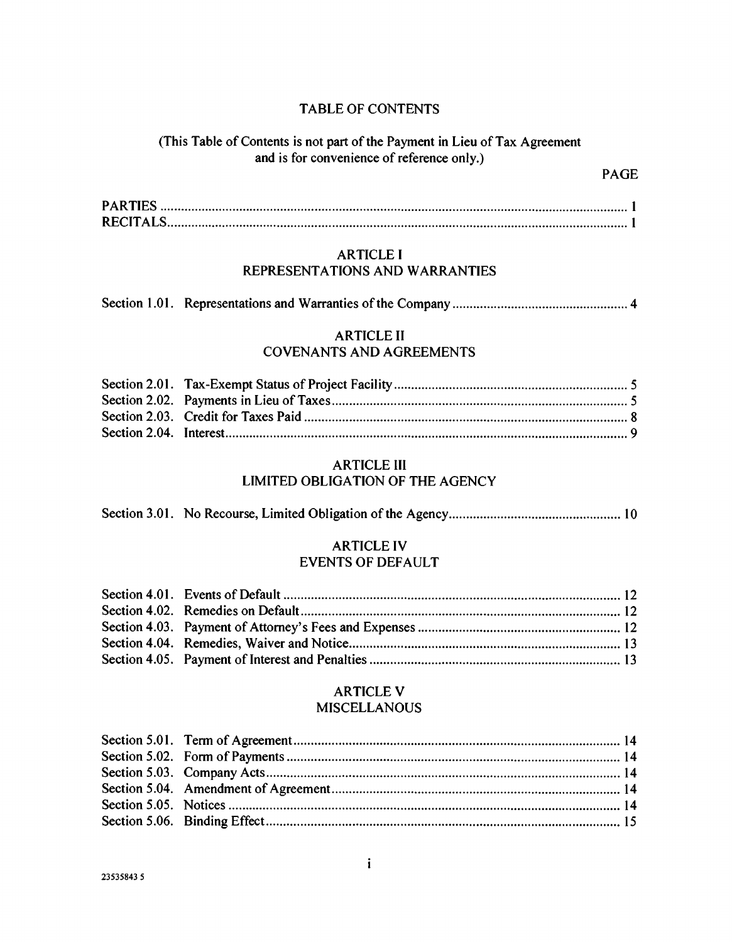## TABLE OF CONTENTS

# (This Table of Contents is not part of the Payment in Lieu of Tax Agreement and is for convenience of reference only.)

# ARTICLE I REPRESENTATIONS AND WARRANTIES

|--|--|--|--|

## ARTICLE II COVENANTS AND AGREEMENTS

# ARTICLE III LIMITED OBLIGATION OF THE AGENCY

Section 3.01. No Recourse, Limited Obligation of the Agency 10

# ARTICLE IV EVENTS OF DEFAULT

### ARTICLE V MISCELLANOUS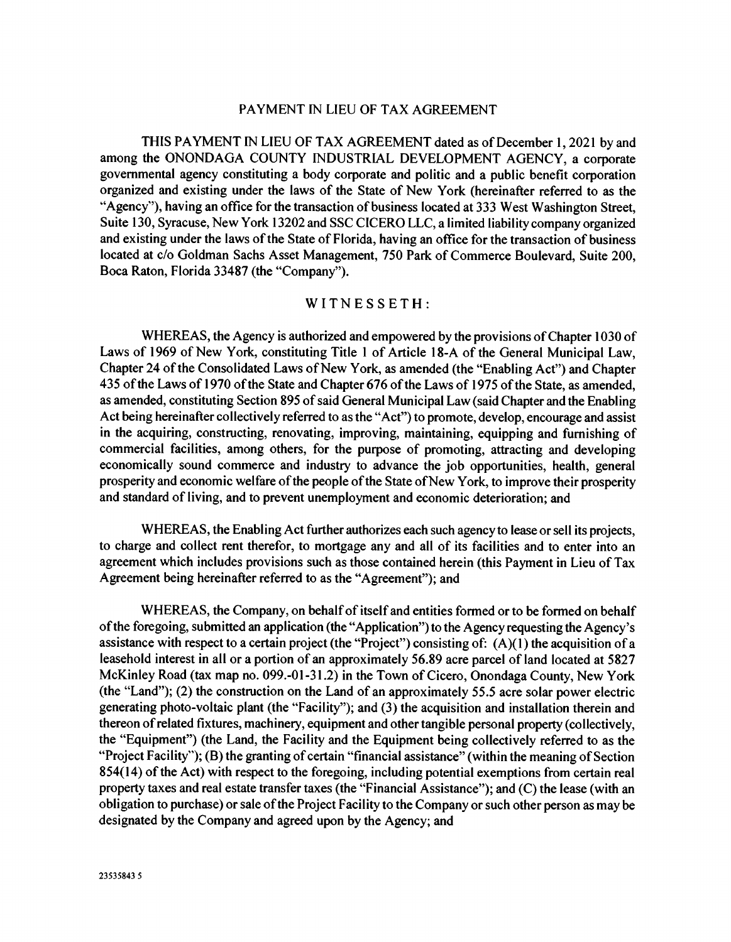### PAYMENT IN LIEU OF TAX AGREEMENT

THIS PAYMENT IN LIEU OF TAX AGREEMENT dated as of December 1, 2021 by and among the ONONDAGA COUNTY INDUSTRIAL DEVELOPMENT AGENCY, a corporate governmental agency constituting a body corporate and politic and a public benefit corporation organized and existing under the laws of the State of New York (hereinafter referred to as the "Agency"), having an office for the transaction of business located at 333 West Washington Street, Suite 130, Syracuse, New York 13202 and SSC CICERO LLC, a limited liability company organized and existing under the laws of the State of Florida, having an office for the transaction of business located at c/o Goldman Sachs Asset Management, 750 Park of Commerce Boulevard, Suite 200, Boca Raton, Florida 33487 (the "Company").

#### WITNESSETH:

WHEREAS, the Agency is authorized and empowered by the provisions of Chapter 1030 of Laws of 1969 of New York, constituting Title 1 of Article 18-A of the General Municipal Law, Chapter 24 of the Consolidated Laws of New York, as amended (the "Enabling Act") and Chapter 435 of the Laws of 1970 of the State and Chapter 676 of the Laws of 1975 of the State, as amended, as amended, constituting Section 895 of said General Municipal Law (said Chapter and the Enabling Act being hereinafter collectively referred to as the "Act") to promote, develop, encourage and assist in the acquiring, constructing, renovating, improving, maintaining, equipping and furnishing of commercial facilities, among others, for the purpose of promoting, attracting and developing economically sound commerce and industry to advance the job opportunities, health, general prosperity and economic welfare of the people of the State of New York, to improve their prosperity and standard of living, and to prevent unemployment and economic deterioration; and

WHEREAS, the Enabling Act further authorizes each such agency to lease or sell its projects, to charge and collect rent therefor, to mortgage any and all of its facilities and to enter into an agreement which includes provisions such as those contained herein (this Payment in Lieu of Tax Agreement being hereinafter referred to as the "Agreement"); and

WHEREAS, the Company, on behalf of itself and entities formed or to be formed on behalf of the foregoing, submitted an application (the "Application") to the Agency requesting the Agency's assistance with respect to a certain project (the "Project") consisting of: (A)(1) the acquisition of a leasehold interest in all or a portion of an approximately 56.89 acre parcel of land located at 5827 McKinley Road (tax map no. 099.-01-31.2) in the Town of Cicero, Onondaga County, New York (the "Land"); (2) the construction on the Land of an approximately 55.5 acre solar power electric generating photo-voltaic plant (the "Facility"); and (3) the acquisition and installation therein and thereon of related fixtures, machinery, equipment and other tangible personal property (collectively, the "Equipment") (the Land, the Facility and the Equipment being collectively referred to as the "Project Facility"); (B) the granting of certain "financial assistance" (within the meaning of Section 854(14) of the Act) with respect to the foregoing, including potential exemptions from certain real property taxes and real estate transfer taxes (the "Financial Assistance"); and (C) the lease (with an obligation to purchase) or sale of the Project Facility to the Company or such other person as may be designated by the Company and agreed upon by the Agency; and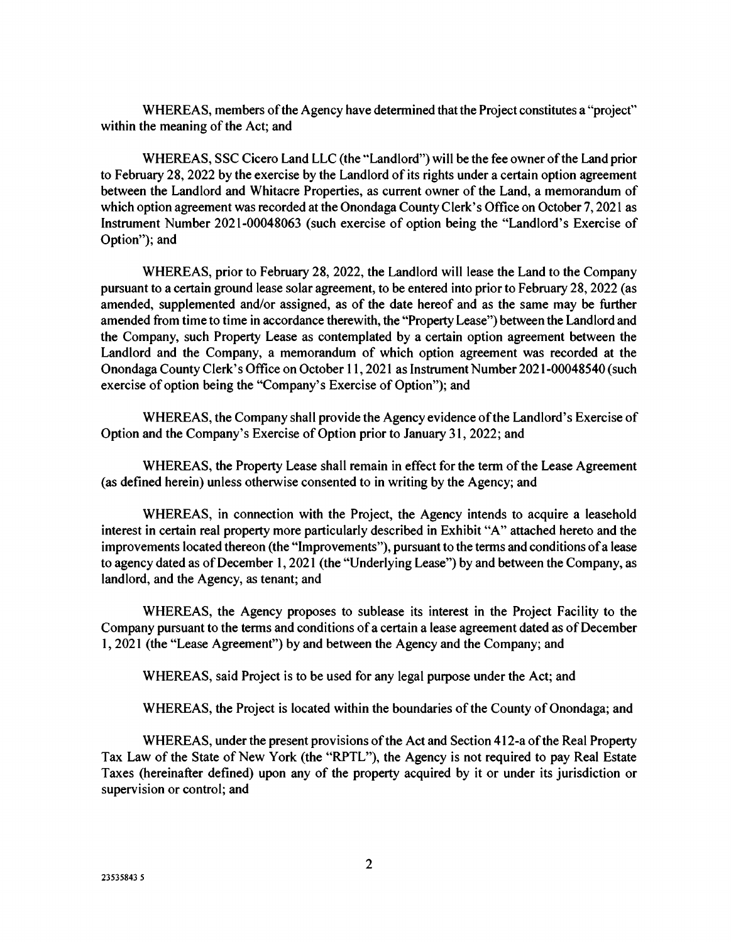WHEREAS, members of the Agency have determined that the Project constitutes a "project" within the meaning of the Act; and

WHEREAS, SSC Cicero Land LLC (the "Landlord") will be the fee owner of the Land prior to February 28, 2022 by the exercise by the Landlord of its rights under a certain option agreement between the Landlord and Whitacre Properties, as current owner of the Land, a memorandum of which option agreement was recorded at the Onondaga County Clerk's Office on October 7, 2021 as Instrument Number 2021-00048063 (such exercise of option being the "Landlord's Exercise of Option"); and

WHEREAS, prior to February 28, 2022, the Landlord will lease the Land to the Company pursuant to a certain ground lease solar agreement, to be entered into prior to February 28, 2022 (as amended, supplemented and/or assigned, as of the date hereof and as the same may be further amended from time to time in accordance therewith, the "Property Lease") between the Landlord and the Company, such Property Lease as contemplated by a certain option agreement between the Landlord and the Company, a memorandum of which option agreement was recorded at the Onondaga County Clerk's Office on October 11, 2021 as Instrument Number 2021-00048540 (such exercise of option being the "Company's Exercise of Option"); and

WHEREAS, the Company shall provide the Agency evidence of the Landlord's Exercise of Option and the Company's Exercise of Option prior to January 31, 2022; and

WHEREAS, the Property Lease shall remain in effect for the term of the Lease Agreement (as defined herein) unless otherwise consented to in writing by the Agency; and

WHEREAS, in connection with the Project, the Agency intends to acquire a leasehold interest in certain real property more particularly described in Exhibit "A" attached hereto and the improvements located thereon (the "Improvements"), pursuant to the terms and conditions of a lease to agency dated as of December 1, 2021 (the "Underlying Lease") by and between the Company, as landlord, and the Agency, as tenant; and

WHEREAS, the Agency proposes to sublease its interest in the Project Facility to the Company pursuant to the terms and conditions of a certain a lease agreement dated as of December 1, 2021 (the "Lease Agreement") by and between the Agency and the Company; and

WHEREAS, said Project is to be used for any legal purpose under the Act; and

WHEREAS, the Project is located within the boundaries of the County of Onondaga; and

WHEREAS, under the present provisions of the Act and Section 412-a of the Real Property Tax Law of the State of New York (the "RPTL"), the Agency is not required to pay Real Estate Taxes (hereinafter defined) upon any of the property acquired by it or under its jurisdiction or supervision or control; and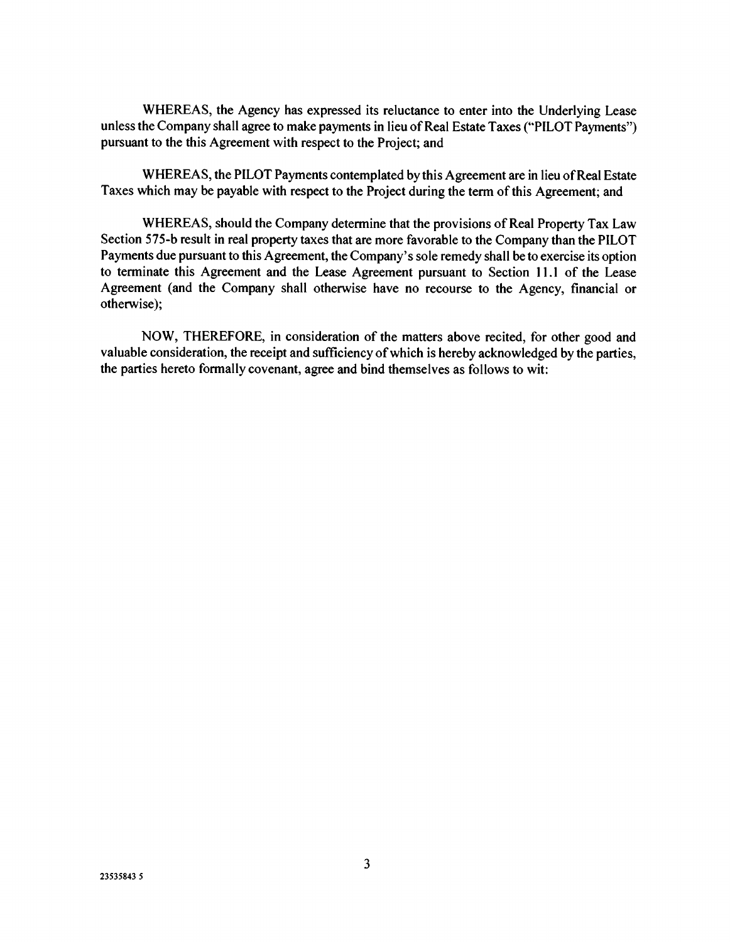WHEREAS, the Agency has expressed its reluctance to enter into the Underlying Lease unless the Company shall agree to make payments in lieu of Real Estate Taxes ("PILOT Payments") pursuant to the this Agreement with respect to the Project; and

WHEREAS, the PILOT Payments contemplated by this Agreement are in lieu of Real Estate Taxes which may be payable with respect to the Project during the term of this Agreement; and

WHEREAS, should the Company determine that the provisions of Real Property Tax Law Section 575-b result in real property taxes that are more favorable to the Company than the PILOT Payments due pursuant to this Agreement, the Company's sole remedy shall be to exercise its option to terminate this Agreement and the Lease Agreement pursuant to Section 11.1 of the Lease Agreement (and the Company shall otherwise have no recourse to the Agency, financial or otherwise);

NOW, THEREFORE, in consideration of the matters above recited, for other good and valuable consideration, the receipt and sufficiency of which is hereby acknowledged by the parties, the parties hereto formally covenant, agree and bind themselves as follows to wit: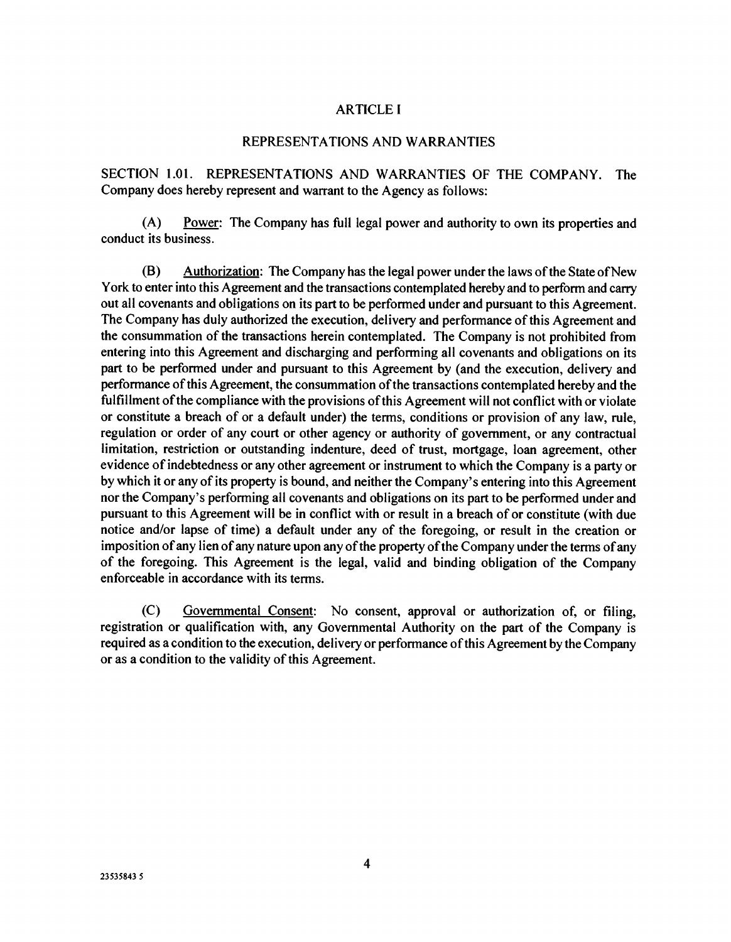## ARTICLE I

#### REPRESENTATIONS AND WARRANTIES

SECTION 1.01. REPRESENTATIONS AND WARRANTIES OF THE COMPANY. The Company does hereby represent and warrant to the Agency as follows:

(A) Power: The Company has full legal power and authority to own its properties and conduct its business.

(B) Authorization: The Company has the legal power under the laws of the State of New York to enter into this Agreement and the transactions contemplated hereby and to perform and carry out all covenants and obligations on its part to be performed under and pursuant to this Agreement. The Company has duly authorized the execution, delivery and performance of this Agreement and the consummation of the transactions herein contemplated. The Company is not prohibited from entering into this Agreement and discharging and performing all covenants and obligations on its part to be performed under and pursuant to this Agreement by (and the execution, delivery and performance of this Agreement, the consummation of the transactions contemplated hereby and the fulfillment of the compliance with the provisions of this Agreement will not conflict with or violate or constitute a breach of or a default under) the terms, conditions or provision of any law, rule, regulation or order of any court or other agency or authority of government, or any contractual limitation, restriction or outstanding indenture, deed of trust, mortgage, loan agreement, other evidence of indebtedness or any other agreement or instrument to which the Company is a party or by which it or any of its property is bound, and neither the Company's entering into this Agreement nor the Company's performing all covenants and obligations on its part to be performed under and pursuant to this Agreement will be in conflict with or result in a breach of or constitute (with due notice and/or lapse of time) a default under any of the foregoing, or result in the creation or imposition of any lien of any nature upon any of the property of the Company under the terms of any of the foregoing. This Agreement is the legal, valid and binding obligation of the Company enforceable in accordance with its terms.

(C) Governmental Consent: No consent, approval or authorization of, or filing, registration or qualification with, any Governmental Authority on the part of the Company is required as a condition to the execution, delivery or performance of this Agreement by the Company or as a condition to the validity of this Agreement.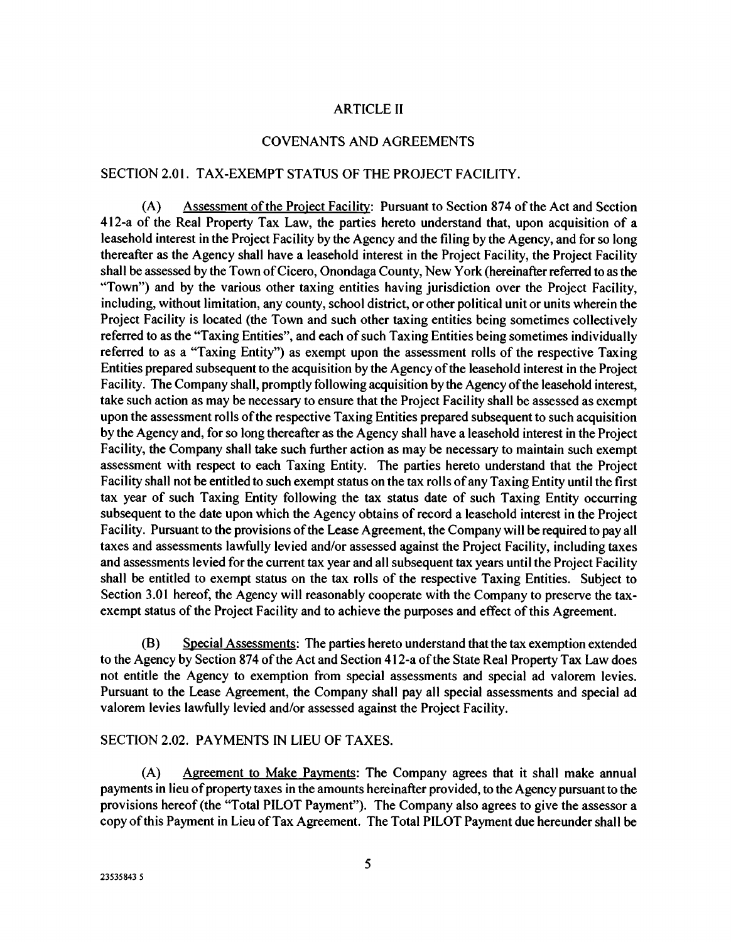## ARTICLE H

### COVENANTS AND AGREEMENTS

#### SECTION 2.01. TAX-EXEMPT STATUS OF THE PROJECT FACILITY.

(A) Assessment of the Project Facility: Pursuant to Section 874 of the Act and Section 412-a of the Real Property Tax Law, the parties hereto understand that, upon acquisition of a leasehold interest in the Project Facility by the Agency and the filing by the Agency, and for so long thereafter as the Agency shall have a leasehold interest in the Project Facility, the Project Facility shall be assessed by the Town of Cicero, Onondaga County, New York (hereinafter referred to as the "Town") and by the various other taxing entities having jurisdiction over the Project Facility, including, without limitation, any county, school district, or other political unit or units wherein the Project Facility is located (the Town and such other taxing entities being sometimes collectively referred to as the "Taxing Entities", and each of such Taxing Entities being sometimes individually referred to as a "Taxing Entity") as exempt upon the assessment rolls of the respective Taxing Entities prepared subsequent to the acquisition by the Agency of the leasehold interest in the Project Facility. The Company shall, promptly following acquisition by the Agency of the leasehold interest, take such action as may be necessary to ensure that the Project Facility shall be assessed as exempt upon the assessment rolls of the respective Taxing Entities prepared subsequent to such acquisition by the Agency and, for so long thereafter as the Agency shall have a leasehold interest in the Project Facility, the Company shall take such further action as may be necessary to maintain such exempt assessment with respect to each Taxing Entity. The parties hereto understand that the Project Facility shall not be entitled to such exempt status on the tax rolls of any Taxing Entity until the first tax year of such Taxing Entity following the tax status date of such Taxing Entity occurring subsequent to the date upon which the Agency obtains of record a leasehold interest in the Project Facility. Pursuant to the provisions of the Lease Agreement, the Company will be required to pay all taxes and assessments lawfully levied and/or assessed against the Project Facility, including taxes and assessments levied for the current tax year and all subsequent tax years until the Project Facility shall be entitled to exempt status on the tax rolls of the respective Taxing Entities. Subject to Section 3.01 hereof, the Agency will reasonably cooperate with the Company to preserve the taxexempt status of the Project Facility and to achieve the purposes and effect of this Agreement.

(B) Special Assessments: The parties hereto understand that the tax exemption extended to the Agency by Section 874 of the Act and Section 412-a of the State Real Property Tax Law does not entitle the Agency to exemption from special assessments and special ad valorem levies. Pursuant to the Lease Agreement, the Company shall pay all special assessments and special ad valorem levies lawfully levied and/or assessed against the Project Facility.

# SECTION 2.02. PAYMENTS IN LIEU OF TAXES.

(A) Agreement to Make Payments: The Company agrees that it shall make annual payments in lieu of property taxes in the amounts hereinafter provided, to the Agency pursuant to the provisions hereof (the "Total PILOT Payment"). The Company also agrees to give the assessor a copy of this Payment in Lieu of Tax Agreement. The Total PILOT Payment due hereunder shall be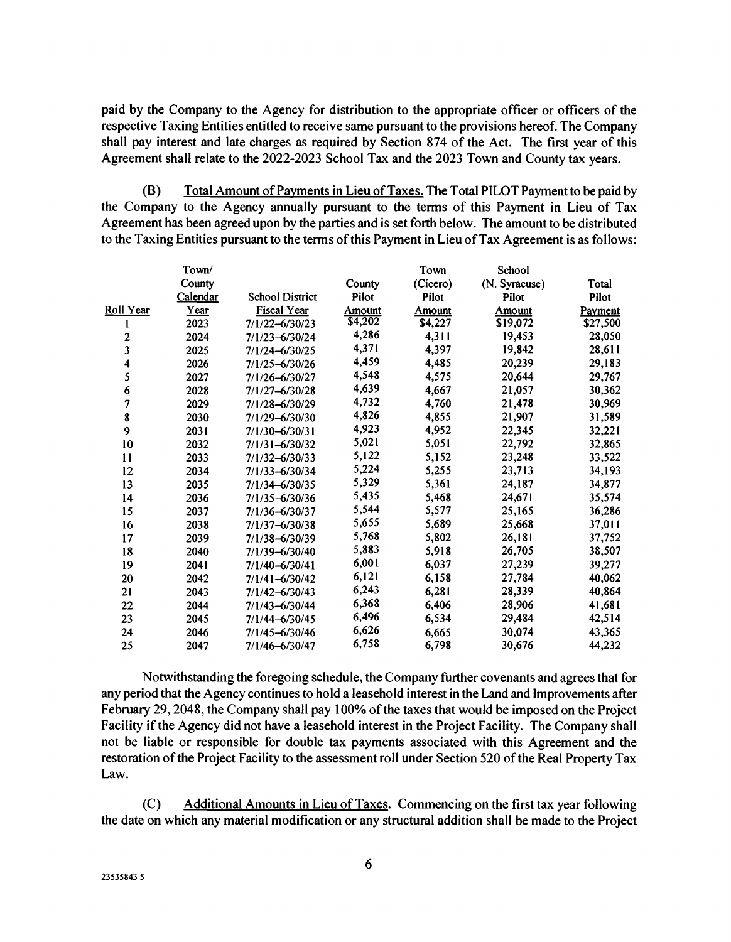paid by the Company to the Agency for distribution to the appropriate officer or officers of the respective Taxing Entities entitled to receive same pursuant to the provisions hereof. The Company shall pay interest and late charges as required by Section 874 of the Act. The first year of this Agreement shall relate to the 2022-2023 School Tax and the 2023 Town and County tax years.

(B) Total Amount of Payments in Lieu of Taxes. The Total PILOT Payment to be paid by the Company to the Agency annually pursuant to the terms of this Payment in Lieu of Tax Agreement has been agreed upon by the parties and is set forth below. The amount to be distributed to the Taxing Entities pursuant to the terms of this Payment in Lieu of Tax Agreement is as follows:

|                | Town/    |                        |                | Town     | School        |          |
|----------------|----------|------------------------|----------------|----------|---------------|----------|
|                | County   |                        | County         | (Cicero) | (N. Syracuse) | Total    |
|                | Calendar | <b>School District</b> | Pilot          | Pilot    | Pilot         | Pilot    |
| Roll Year      | Year     | <b>Fiscal Year</b>     | Amount         | Amount   | <b>Amount</b> | Payment  |
| L              | 2023     | 7/1/22-6/30/23         | $\sqrt{4,202}$ | \$4,227  | \$19,072      | \$27,500 |
| 2              | 2024     | $7/1/23 - 6/30/24$     | 4,286          | 4,311    | 19,453        | 28,050   |
| 3              | 2025     | 7/1/24-6/30/25         | 4,371          | 4,397    | 19,842        | 28,611   |
| 4              | 2026     | 7/1/25-6/30/26         | 4,459          | 4,485    | 20,239        | 29,183   |
| 5              | 2027     | $7/1/26 - 6/30/27$     | 4,548          | 4,575    | 20,644        | 29,767   |
| 6              | 2028     | $7/1/27 - 6/30/28$     | 4,639          | 4,667    | 21,057        | 30,362   |
| 7              | 2029     | $7/1/28 - 6/30/29$     | 4,732          | 4,760    | 21,478        | 30,969   |
| 8              | 2030     | 7/1/29-6/30/30         | 4,826          | 4,855    | 21,907        | 31,589   |
| $\overline{9}$ | 2031     | $7/1/30 - 6/30/31$     | 4,923          | 4,952    | 22,345        | 32,221   |
| 10             | 2032     | $7/1/31 - 6/30/32$     | 5,021          | 5,051    | 22,792        | 32,865   |
| 11             | 2033     | $7/1/32 - 6/30/33$     | 5,122          | 5,152    | 23,248        | 33,522   |
| 12             | 2034     | 7/1/33-6/30/34         | 5,224          | 5,255    | 23,713        | 34,193   |
| 13             | 2035     | $7/1/34 - 6/30/35$     | 5,329          | 5,361    | 24,187        | 34,877   |
| 14             | 2036     | $7/1/35 - 6/30/36$     | 5,435          | 5,468    | 24,671        | 35,574   |
| 15             | 2037     | 7/1/36-6/30/37         | 5,544          | 5,577    | 25,165        | 36,286   |
| 16             | 2038     | 7/1/37-6/30/38         | 5,655          | 5,689    | 25,668        | 37,011   |
| 17             | 2039     | 7/1/38-6/30/39         | 5,768          | 5,802    | 26,181        | 37,752   |
| 18             | 2040     | 7/1/39-6/30/40         | 5,883          | 5,918    | 26,705        | 38,507   |
| 19             | 2041     | $7/1/40 - 6/30/41$     | 6,001          | 6,037    | 27,239        | 39,277   |
| 20             | 2042     | $7/1/41 - 6/30/42$     | 6,121          | 6,158    | 27,784        | 40,062   |
| 21             | 2043     | $7/1/42 - 6/30/43$     | 6,243          | 6,281    | 28,339        | 40,864   |
| 22             | 2044     | 7/1/43-6/30/44         | 6,368          | 6,406    | 28,906        | 41,681   |
| 23             | 2045     | 7/1/44-6/30/45         | 6,496          | 6,534    | 29,484        | 42,514   |
| 24             | 2046     | 7/1/45-6/30/46         | 6,626          | 6,665    | 30.074        | 43,365   |
| 25             | 2047     | 7/1/46-6/30/47         | 6,758          | 6,798    | 30,676        | 44,232   |

Notwithstanding the foregoing schedule, the Company further covenants and agrees that for any period that the Agency continues to hold a leasehold interest in the Land and Improvements after February 29, 2048, the Company shall pay 100% of the taxes that would be imposed on the Project Facility if the Agency did not have a leasehold interest in the Project Facility. The Company shall not be liable or responsible for double tax payments associated with this Agreement and the restoration of the Project Facility to the assessment roll under Section 520 of the Real Property Tax  $Law$ .

(C) Additional Amounts in Lieu of Taxes. Commencing on the first tax year following the date on which any material modification or any structural addition shall be made to the Project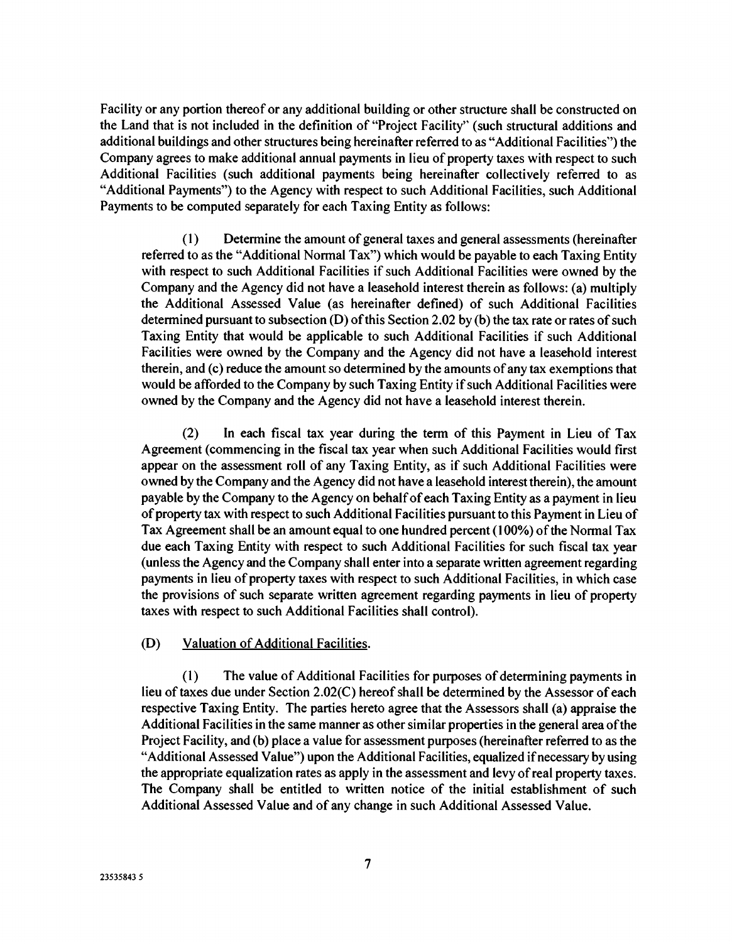Facility or any portion thereof or any additional building or other structure shall be constructed on the Land that is not included in the definition of "Project Facility" (such structural additions and additional buildings and other structures being hereinafter referred to as "Additional Facilities") the Company agrees to make additional annual payments in lieu of property taxes with respect to such Additional Facilities (such additional payments being hereinafter collectively referred to as "Additional Payments") to the Agency with respect to such Additional Facilities, such Additional Payments to be computed separately for each Taxing Entity as follows:

(1) Determine the amount of general taxes and general assessments (hereinafter referred to as the "Additional Normal Tax") which would be payable to each Taxing Entity with respect to such Additional Facilities if such Additional Facilities were owned by the Company and the Agency did not have a leasehold interest therein as follows: (a) multiply the Additional Assessed Value (as hereinafter defined) of such Additional Facilities determined pursuant to subsection (D) of this Section 2.02 by (b) the tax rate or rates of such Taxing Entity that would be applicable to such Additional Facilities if such Additional Facilities were owned by the Company and the Agency did not have a leasehold interest therein, and (c) reduce the amount so determined by the amounts of any tax exemptions that would be afforded to the Company by such Taxing Entity if such Additional Facilities were owned by the Company and the Agency did not have a leasehold interest therein.

(2) In each fiscal tax year during the term of this Payment in Lieu of Tax Agreement (commencing in the fiscal tax year when such Additional Facilities would first appear on the assessment roll of any Taxing Entity, as if such Additional Facilities were owned by the Company and the Agency did not have a leasehold interest therein), the amount payable by the Company to the Agency on behalf of each Taxing Entity as a payment in lieu of property tax with respect to such Additional Facilities pursuant to this Payment in Lieu of Tax Agreement shall be an amount equal to one hundred percent (100%) of the Normal Tax due each Taxing Entity with respect to such Additional Facilities for such fiscal tax year (unless the Agency and the Company shall enter into a separate written agreement regarding payments in lieu of property taxes with respect to such Additional Facilities, in which case the provisions of such separate written agreement regarding payments in lieu of property taxes with respect to such Additional Facilities shall control).

### (D) Valuation of Additional Facilities.

(1) The value of Additional Facilities for purposes of determining payments in lieu of taxes due under Section 2.02(C) hereof shall be determined by the Assessor of each respective Taxing Entity. The parties hereto agree that the Assessors shall (a) appraise the Additional Facilities in the same manner as other similar properties in the general area of the Project Facility, and (b) place a value for assessment purposes (hereinafter referred to as the "Additional Assessed Value") upon the Additional Facilities, equalized if necessary by using the appropriate equalization rates as apply in the assessment and levy of real property taxes. The Company shall be entitled to written notice of the initial establishment of such Additional Assessed Value and of any change in such Additional Assessed Value.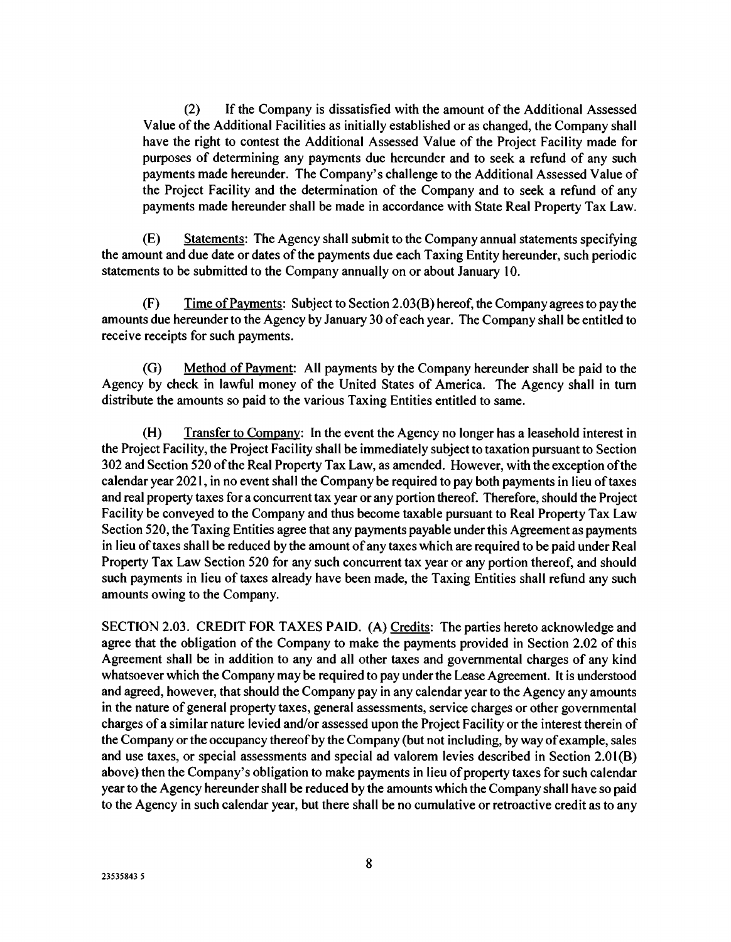(2) If the Company is dissatisfied with the amount of the Additional Assessed Value of the Additional Facilities as initially established or as changed, the Company shall have the right to contest the Additional Assessed Value of the Project Facility made for purposes of determining any payments due hereunder and to seek a refund of any such payments made hereunder. The Company's challenge to the Additional Assessed Value of the Project Facility and the determination of the Company and to seek a refund of any payments made hereunder shall be made in accordance with State Real Property Tax Law.

(E) Statements: The Agency shall submit to the Company annual statements specifying the amount and due date or dates of the payments due each Taxing Entity hereunder, such periodic statements to be submitted to the Company annually on or about January 10.

(F) Time of Payments: Subject to Section 2.03(B) hereof, the Company agrees to pay the amounts due hereunder to the Agency by January 30 of each year. The Company shall be entitled to receive receipts for such payments.

(G) Method of Payment: All payments by the Company hereunder shall be paid to the Agency by check in lawful money of the United States of America. The Agency shall in turn distribute the amounts so paid to the various Taxing Entities entitled to same.

(H) Transfer to Company: In the event the Agency no longer has a leasehold interest in the Project Facility, the Project Facility shall be immediately subject to taxation pursuant to Section 302 and Section 520 of the Real Property Tax Law, as amended. However, with the exception of the calendar year 2021, in no event shall the Company be required to pay both payments in lieu of taxes and real property taxes for a concurrent tax year or any portion thereof. Therefore, should the Project Facility be conveyed to the Company and thus become taxable pursuant to Real Property Tax Law Section 520, the Taxing Entities agree that any payments payable under this Agreement as payments in lieu of taxes shall be reduced by the amount of any taxes which are required to be paid under Real Property Tax Law Section 520 for any such concurrent tax year or any portion thereof, and should such payments in lieu of taxes already have been made, the Taxing Entities shall refund any such amounts owing to the Company.

SECTION 2.03. CREDIT FOR TAXES PAID. (A) Credits: The parties hereto acknowledge and agree that the obligation of the Company to make the payments provided in Section 2.02 of this Agreement shall be in addition to any and all other taxes and governmental charges of any kind whatsoever which the Company may be required to pay under the Lease Agreement. It is understood and agreed, however, that should the Company pay in any calendar year to the Agency any amounts in the nature of general property taxes, general assessments, service charges or other governmental charges of a similar nature levied and/or assessed upon the Project Facility or the interest therein of the Company or the occupancy thereof by the Company (but not including, by way of example, sales and use taxes, or special assessments and special ad valorem levies described in Section 2.01(B) above) then the Company's obligation to make payments in lieu of property taxes for such calendar year to the Agency hereunder shall be reduced by the amounts which the Company shall have so paid to the Agency in such calendar year, but there shall be no cumulative or retroactive credit as to any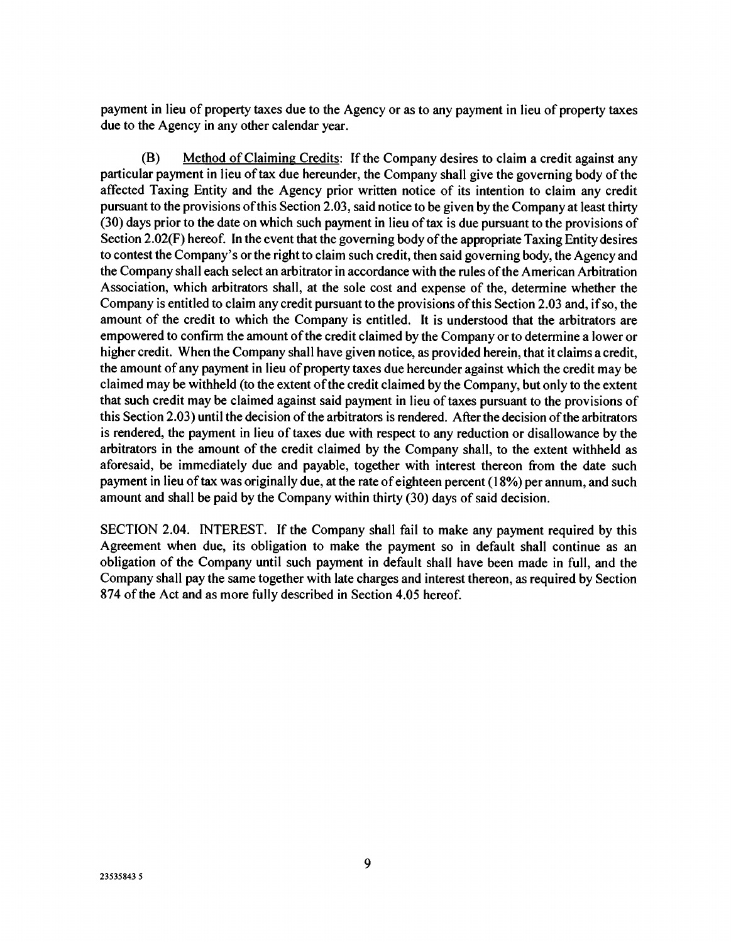payment in lieu of property taxes due to the Agency or as to any payment in lieu of property taxes due to the Agency in any other calendar year.

(B) Method of Claiming Credits: If the Company desires to claim a credit against any particular payment in lieu of tax due hereunder, the Company shall give the governing body of the affected Taxing Entity and the Agency prior written notice of its intention to claim any credit pursuant to the provisions of this Section 2.03, said notice to be given by the Company at least thirty (30) days prior to the date on which such payment in lieu of tax is due pursuant to the provisions of Section 2.02(F) hereof. In the event that the governing body of the appropriate Taxing Entity desires to contest the Company's or the right to claim such credit, then said governing body, the Agency and the Company shall each select an arbitrator in accordance with the rules of the American Arbitration Association, which arbitrators shall, at the sole cost and expense of the, determine whether the Company is entitled to claim any credit pursuant to the provisions of this Section 2.03 and, if so, the amount of the credit to which the Company is entitled. It is understood that the arbitrators are empowered to confirm the amount of the credit claimed by the Company or to determine a lower or higher credit. When the Company shall have given notice, as provided herein, that it claims a credit, the amount of any payment in lieu of property taxes due hereunder against which the credit may be claimed may be withheld (to the extent of the credit claimed by the Company, but only to the extent that such credit may be claimed against said payment in lieu of taxes pursuant to the provisions of this Section 2.03) until the decision of the arbitrators is rendered. After the decision of the arbitrators is rendered, the payment in lieu of taxes due with respect to any reduction or disallowance by the arbitrators in the amount of the credit claimed by the Company shall, to the extent withheld as aforesaid, be immediately due and payable, together with interest thereon from the date such payment in lieu of tax was originally due, at the rate of eighteen percent (18%) per annum, and such amount and shall be paid by the Company within thirty (30) days of said decision.

SECTION 2.04. INTEREST. If the Company shall fail to make any payment required by this Agreement when due, its obligation to make the payment so in default shall continue as an obligation of the Company until such payment in default shall have been made in full, and the Company shall pay the same together with late charges and interest thereon, as required by Section 874 of the Act and as more fully described in Section 4.05 hereof.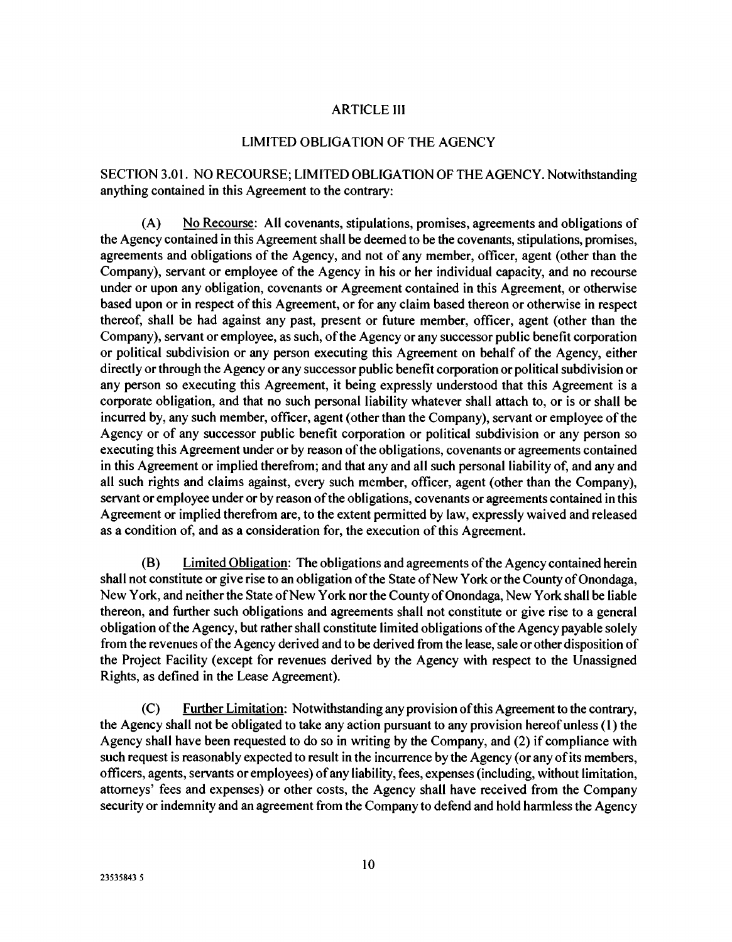### ARTICLE III

### LIMITED OBLIGATION OF THE AGENCY

SECTION 3.01. NO RECOURSE; LIMITED OBLIGATION OF THE AGENCY. Notwithstanding anything contained in this Agreement to the contrary:

(A) No Recourse: All covenants, stipulations, promises, agreements and obligations of the Agency contained in this Agreement shall be deemed to be the covenants, stipulations, promises, agreements and obligations of the Agency, and not of any member, officer, agent (other than the Company), servant or employee of the Agency in his or her individual capacity, and no recourse under or upon any obligation, covenants or Agreement contained in this Agreement, or otherwise based upon or in respect of this Agreement, or for any claim based thereon or otherwise in respect thereof, shall be had against any past, present or future member, officer, agent (other than the Company), servant or employee, as such, of the Agency or any successor public benefit corporation or political subdivision or any person executing this Agreement on behalf of the Agency, either directly or through the Agency or any successor public benefit corporation or political subdivision or any person so executing this Agreement, it being expressly understood that this Agreement is a corporate obligation, and that no such personal liability whatever shall attach to, or is or shall be incurred by, any such member, officer, agent (other than the Company), servant or employee of the Agency or of any successor public benefit corporation or political subdivision or any person so executing this Agreement under or by reason of the obligations, covenants or agreements contained in this Agreement or implied therefrom; and that any and all such personal liability of, and any and all such rights and claims against, every such member, officer, agent (other than the Company), servant or employee under or by reason of the obligations, covenants or agreements contained in this Agreement or implied therefrom are, to the extent permitted by law, expressly waived and released as a condition of, and as a consideration for, the execution of this Agreement.

(B) Limited Obligation: The obligations and agreements of the Agency contained herein shall not constitute or give rise to an obligation of the State of New York or the County of Onondaga, New York, and neither the State of New York nor the County of Onondaga, New York shall be liable thereon, and further such obligations and agreements shall not constitute or give rise to a general obligation of the Agency, but rather shall constitute limited obligations of the Agency payable solely from the revenues of the Agency derived and to be derived from the lease, sale or other disposition of the Project Facility (except for revenues derived by the Agency with respect to the Unassigned Rights, as defined in the Lease Agreement).

(C) Further Limitation: Notwithstanding any provision of this Agreement to the contrary, the Agency shall not be obligated to take any action pursuant to any provision hereof unless (I) the Agency shall have been requested to do so in writing by the Company, and (2) if compliance with such request is reasonably expected to result in the incurrence by the Agency (or any of its members, officers, agents, servants or employees) of any liability, fees, expenses (including, without limitation, attorneys' fees and expenses) or other costs, the Agency shall have received from the Company security or indemnity and an agreement from the Company to defend and hold harmless the Agency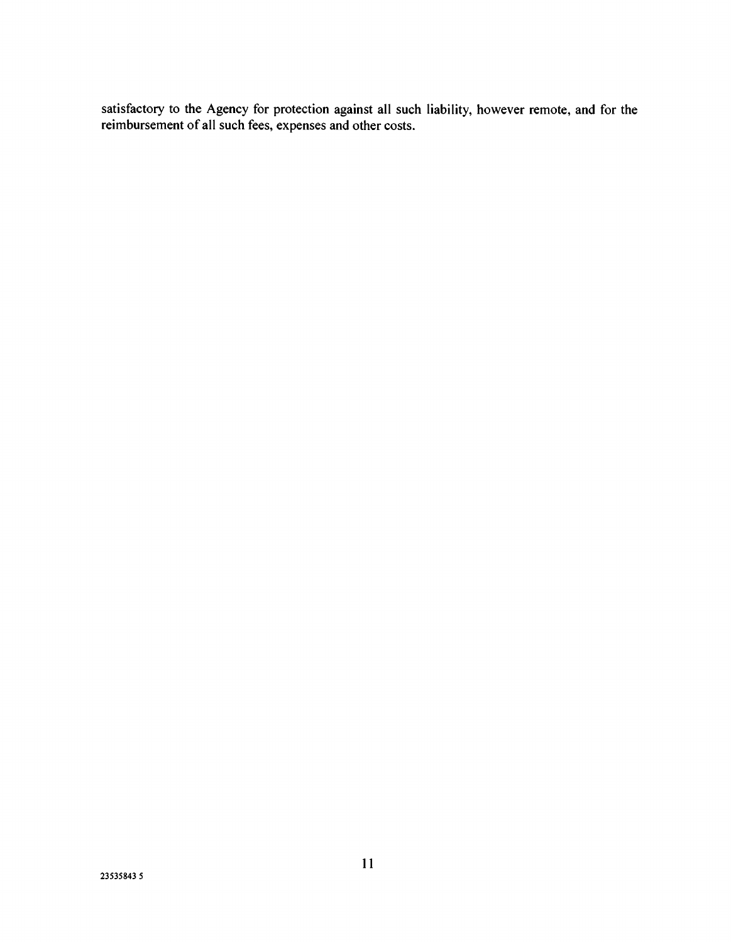satisfactory to the Agency for protection against all such liability, however remote, and for the reimbursement of all such fees, expenses and other costs.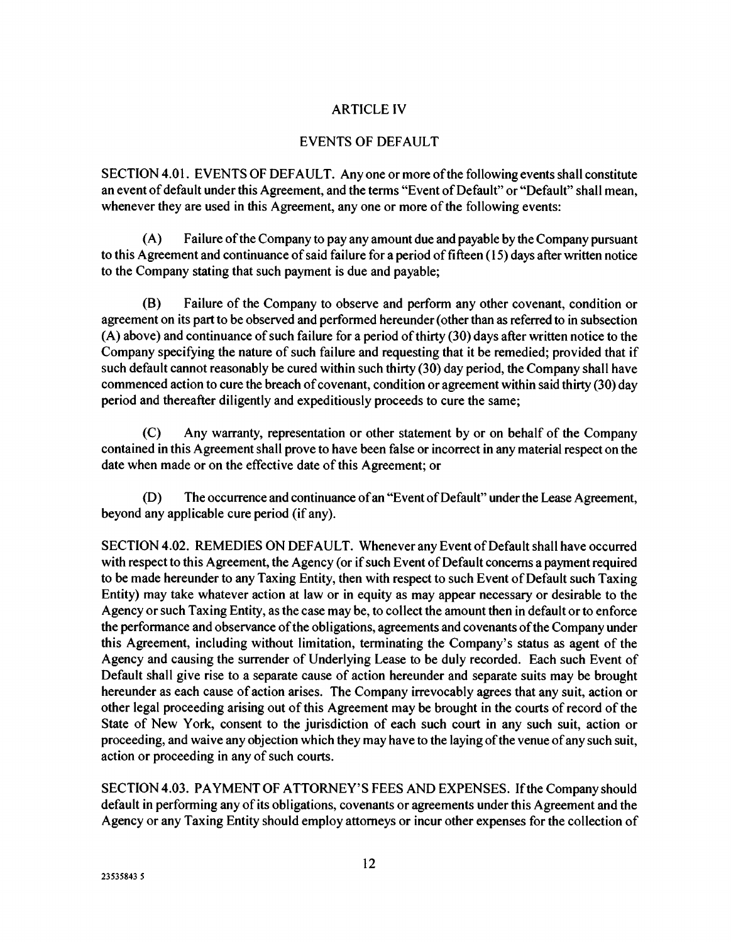## ARTICLE IV

## EVENTS OF DEFAULT

SECTION 4.01. EVENTS OF DEFAULT. Any one or more of the following events shall constitute an event of default under this Agreement, and the terms "Event of Default" or "Default" shall mean, whenever they are used in this Agreement, any one or more of the following events:

(A) Failure of the Company to pay any amount due and payable by the Company pursuant to this Agreement and continuance of said failure for a period of fifteen (15) days after written notice to the Company stating that such payment is due and payable;

(B) Failure of the Company to observe and perform any other covenant, condition or agreement on its part to be observed and performed hereunder (other than as referred to in subsection (A) above) and continuance of such failure for a period of thirty (30) days after written notice to the Company specifying the nature of such failure and requesting that it be remedied; provided that if such default cannot reasonably be cured within such thirty (30) day period, the Company shall have commenced action to cure the breach of covenant, condition or agreement within said thirty (30) day period and thereafter diligently and expeditiously proceeds to cure the same;

(C) Any warranty, representation or other statement by or on behalf of the Company contained in this Agreement shall prove to have been false or incorrect in any material respect on the date when made or on the effective date of this Agreement; or

(D) The occurrence and continuance of an "Event of Default" under the Lease Agreement, beyond any applicable cure period (if any).

SECTION 4.02. REMEDIES ON DEFAULT. Whenever any Event of Default shall have occurred with respect to this Agreement, the Agency (or if such Event of Default concerns a payment required to be made hereunder to any Taxing Entity, then with respect to such Event of Default such Taxing Entity) may take whatever action at law or in equity as may appear necessary or desirable to the Agency or such Taxing Entity, as the case may be, to collect the amount then in default or to enforce the performance and observance of the obligations, agreements and covenants of the Company under this Agreement, including without limitation, terminating the Company's status as agent of the Agency and causing the surrender of Underlying Lease to be duly recorded. Each such Event of Default shall give rise to a separate cause of action hereunder and separate suits may be brought hereunder as each cause of action arises. The Company irrevocably agrees that any suit, action or other legal proceeding arising out of this Agreement may be brought in the courts of record of the State of New York, consent to the jurisdiction of each such court in any such suit, action or proceeding, and waive any objection which they may have to the laying of the venue of any such suit, action or proceeding in any of such courts.

SECTION 4.03. PAYMENT OF ATTORNEY'S FEES AND EXPENSES. If the Company should default in performing any of its obligations, covenants or agreements under this Agreement and the Agency or any Taxing Entity should employ attorneys or incur other expenses for the collection of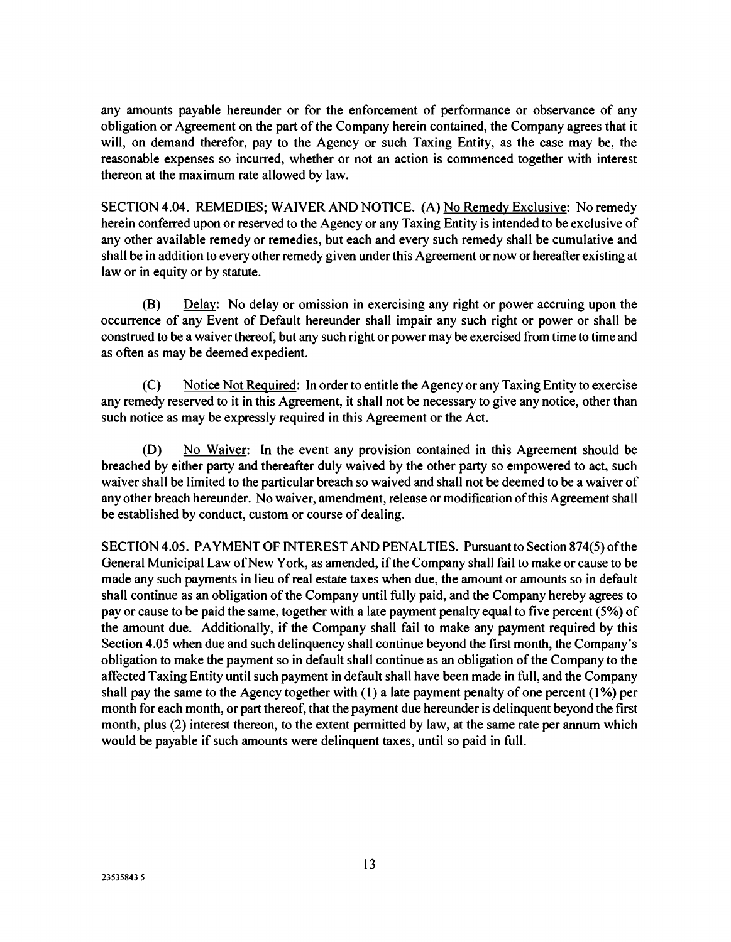any amounts payable hereunder or for the enforcement of performance or observance of any obligation or Agreement on the part of the Company herein contained, the Company agrees that it will, on demand therefor, pay to the Agency or such Taxing Entity, as the case may be, the reasonable expenses so incurred, whether or not an action is commenced together with interest thereon at the maximum rate allowed by law.

SECTION 4.04. REMEDIES; WAIVER AND NOTICE. (A) No Remedy Exclusive: No remedy herein conferred upon or reserved to the Agency or any Taxing Entity is intended to be exclusive of any other available remedy or remedies, but each and every such remedy shall be cumulative and shall be in addition to every other remedy given under this Agreement or now or hereafter existing at law or in equity or by statute.

(B) Delay: No delay or omission in exercising any right or power accruing upon the occurrence of any Event of Default hereunder shall impair any such right or power or shall be construed to be a waiver thereof, but any such right or power may be exercised from time to time and as often as may be deemed expedient.

(C) Notice Not Required: In order to entitle the Agency or any Taxing Entity to exercise any remedy reserved to it in this Agreement, it shall not be necessary to give any notice, other than such notice as may be expressly required in this Agreement or the Act.

(D) No Waiver: In the event any provision contained in this Agreement should be breached by either party and thereafter duly waived by the other party so empowered to act, such waiver shall be limited to the particular breach so waived and shall not be deemed to be a waiver of any other breach hereunder. No waiver, amendment, release or modification of this Agreement shall be established by conduct, custom or course of dealing.

SECTION 4.05. PAYMENT OF INTEREST AND PENALTIES. Pursuant to Section 874(5) of the General Municipal Law of New York, as amended, if the Company shall fail to make or cause to be made any such payments in lieu of real estate taxes when due, the amount or amounts so in default shall continue as an obligation of the Company until fully paid, and the Company hereby agrees to pay or cause to be paid the same, together with a late payment penalty equal to five percent (5%) of the amount due. Additionally, if the Company shall fail to make any payment required by this Section 4.05 when due and such delinquency shall continue beyond the first month, the Company's obligation to make the payment so in default shall continue as an obligation of the Company to the affected Taxing Entity until such payment in default shall have been made in full, and the Company shall pay the same to the Agency together with (1) a late payment penalty of one percent (1%) per month for each month, or part thereof, that the payment due hereunder is delinquent beyond the first month, plus (2) interest thereon, to the extent permitted by law, at the same rate per annum which would be payable if such amounts were delinquent taxes, until so paid in full.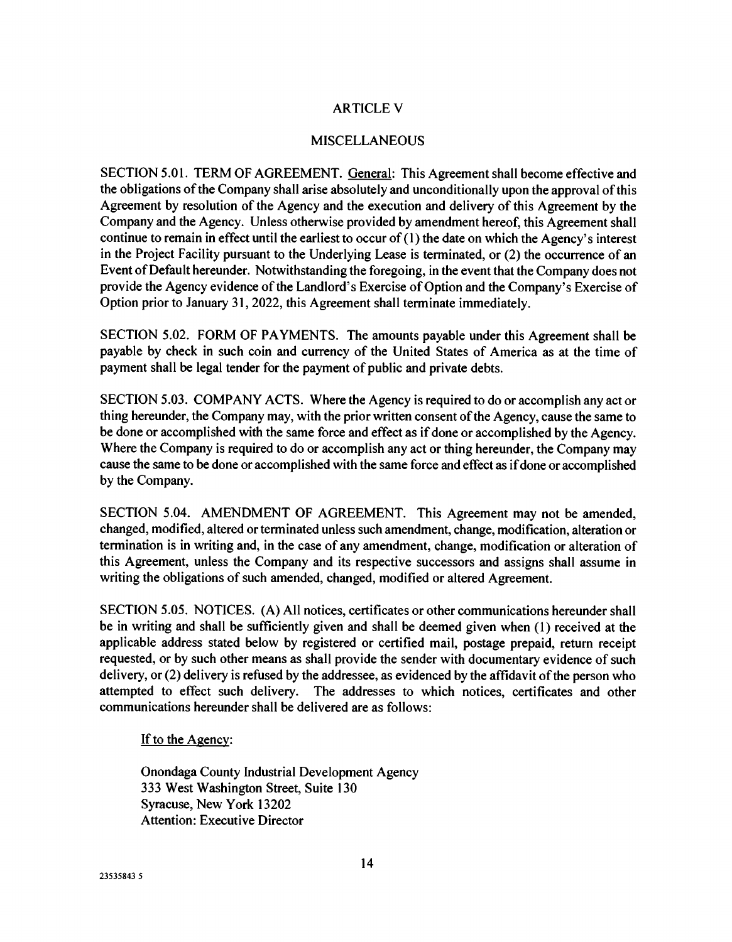# ARTICLE V

## MISCELLANEOUS

SECTION 5.01. TERM OF AGREEMENT. General: This Agreement shall become effective and the obligations of the Company shall arise absolutely and unconditionally upon the approval of this Agreement by resolution of the Agency and the execution and delivery of this Agreement by the Company and the Agency. Unless otherwise provided by amendment hereof, this Agreement shall continue to remain in effect until the earliest to occur of (1) the date on which the Agency's interest in the Project Facility pursuant to the Underlying Lease is terminated, or (2) the occurrence of an Event of Default hereunder. Notwithstanding the foregoing, in the event that the Company does not provide the Agency evidence of the Landlord's Exercise of Option and the Company's Exercise of Option prior to January 31, 2022, this Agreement shall terminate immediately.

SECTION 5.02. FORM OF PAYMENTS. The amounts payable under this Agreement shall be payable by check in such coin and currency of the United States of America as at the time of payment shall be legal tender for the payment of public and private debts.

SECTION 5.03. COMPANY ACTS. Where the Agency is required to do or accomplish any act or thing hereunder, the Company may, with the prior written consent of the Agency, cause the same to be done or accomplished with the same force and effect as if done or accomplished by the Agency. Where the Company is required to do or accomplish any act or thing hereunder, the Company may cause the same to be done or accomplished with the same force and effect as if done or accomplished by the Company.

SECTION 5.04. AMENDMENT OF AGREEMENT. This Agreement may not be amended, changed, modified, altered or terminated unless such amendment, change, modification, alteration or termination is in writing and, in the case of any amendment, change, modification or alteration of this Agreement, unless the Company and its respective successors and assigns shall assume in writing the obligations of such amended, changed, modified or altered Agreement.

SECTION 5.05. NOTICES. (A) All notices, certificates or other communications hereunder shall be in writing and shall be sufficiently given and shall be deemed given when (1) received at the applicable address stated below by registered or certified mail, postage prepaid, return receipt requested, or by such other means as shall provide the sender with documentary evidence of such delivery, or (2) delivery is refused by the addressee, as evidenced by the affidavit of the person who attempted to effect such delivery. The addresses to which notices, certificates and other communications hereunder shall be delivered are as follows:

### If to the Agency:

Onondaga County Industrial Development Agency 333 West Washington Street, Suite 130 Syracuse, New York 13202 Attention: Executive Director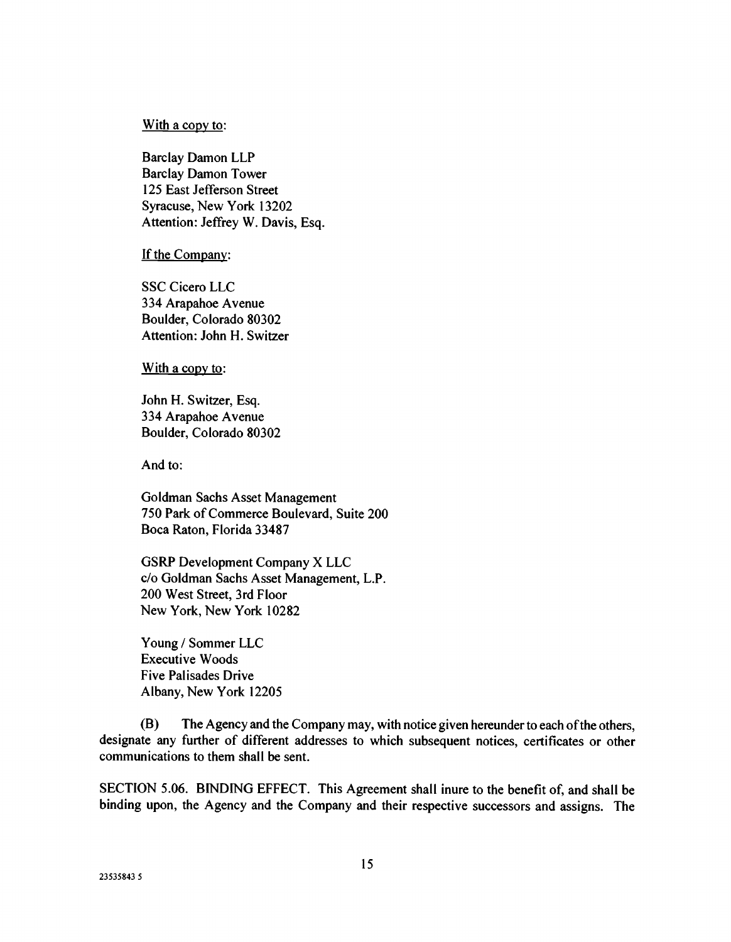#### With a copy to:

Barclay Damon LLP Barclay Damon Tower 125 East Jefferson Street Syracuse, New York 13202 Attention: Jeffrey W. Davis, Esq.

#### If the Company:

SSC Cicero LLC 334 Arapahoe Avenue Boulder, Colorado 80302 Attention: John H. Switzer

With a copy to:

John H. Switzer, Esq. 334 Arapahoe Avenue Boulder, Colorado 80302

And to:

Goldman Sachs Asset Management 750 Park of Commerce Boulevard, Suite 200 Boca Raton, Florida 33487

GSRP Development Company X LLC c/o Goldman Sachs Asset Management, L.P. 200 West Street, 3rd Floor New York, New York 10282

Young / Sommer LLC Executive Woods Five Palisades Drive Albany, New York 12205

(B) The Agency and the Company may, with notice given hereunder to each of the others, designate any further of different addresses to which subsequent notices, certificates or other communications to them shall be sent.

SECTION 5.06. BINDING EFFECT. This Agreement shall inure to the benefit of, and shall be binding upon, the Agency and the Company and their respective successors and assigns. The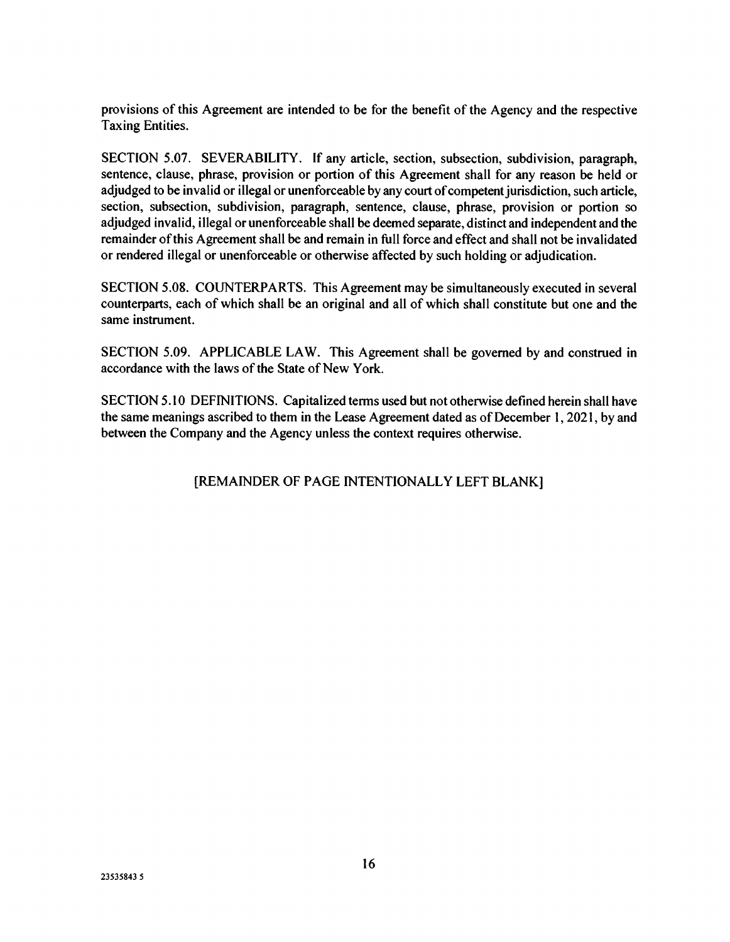provisions of this Agreement are intended to be for the benefit of the Agency and the respective Taxing Entities.

SECTION 5.07. SEVERABILITY. If any article, section, subsection, subdivision, paragraph, sentence, clause, phrase, provision or portion of this Agreement shall for any reason be held or adjudged to be invalid or illegal or unenforceable by any court of competent jurisdiction, such article, section, subsection, subdivision, paragraph, sentence, clause, phrase, provision or portion so adjudged invalid, illegal or unenforceable shall be deemed separate, distinct and independent and the remainder of this Agreement shall be and remain in full force and effect and shall not be invalidated or rendered illegal or unenforceable or otherwise affected by such holding or adjudication.

SECTION 5.08. COUNTERPARTS. This Agreement may be simultaneously executed in several counterparts, each of which shall be an original and all of which shall constitute but one and the same instrument.

SECTION 5.09. APPLICABLE LAW. This Agreement shall be governed by and construed in accordance with the laws of the State of New York.

SECTION 5.10 DEFINITIONS. Capitalized terms used but not otherwise defined herein shall have the same meanings ascribed to them in the Lease Agreement dated as of December 1, 2021, by and between the Company and the Agency unless the context requires otherwise.

# [REMAINDER OF PAGE INTENTIONALLY LEFT BLANK]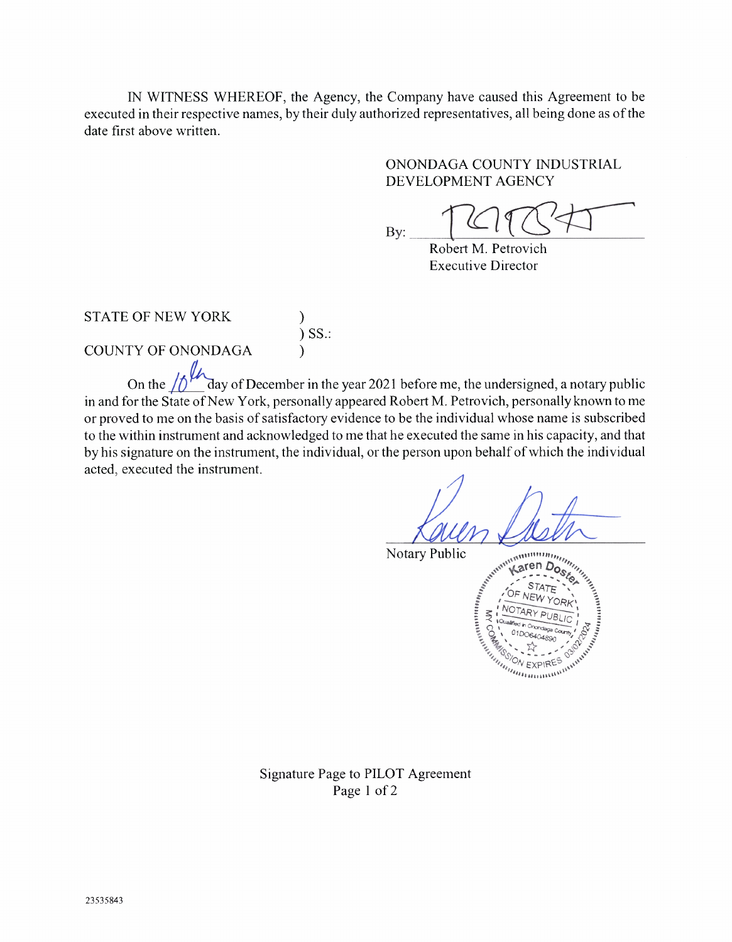IN WITNESS WHEREOF, the Agency, the Company have caused this Agreement to be executed in their respective names, by their duly authorized representatives, all being done as of the date first above written.

# ONONDAGA COUNTY INDUSTRIAL DEVELOPMENT AGENCY

By:

Robert M. Petrovich Executive Director

STATE OF NEW YORK )

 $)$  SS.:

COUNTY OF ONONDAGA )

On the  $\sqrt{\frac{1}{2}}$  day of December in the year 2021 before me, the undersigned, a notary public in and for the State of New York, personally appeared Robert M. Petrovich, personally known to me or proved to me on the basis of satisfactory evidence to be the individual whose name is subscribed to the within instrument and acknowledged to me that he executed the same in his capacity, and that by his signature on the instrument, the individual, or the person upon behalf of which the individual acted, executed the instrument.

Notary Public



Signature Page to PILOT Agreement Page 1 of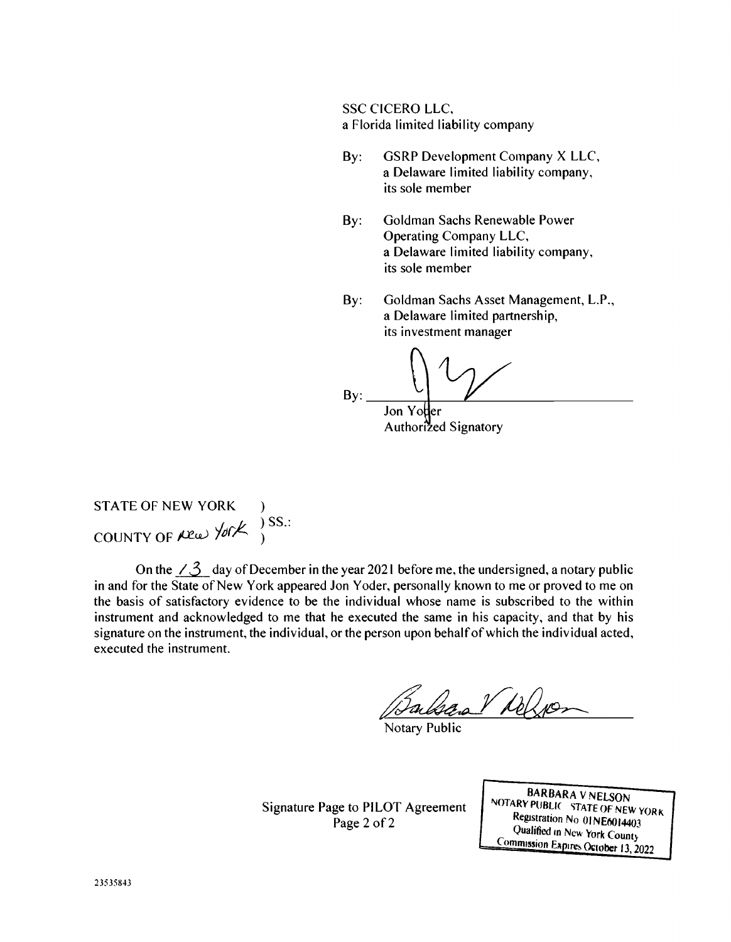SSC CICERO LLC, a Florida limited liability company

- By: GSRP Development Company X LLC, a Delaware limited liability company, its sole member
- By: Goldman Sachs Renewable Power Operating Company LLC, a Delaware limited liability company, its sole member
- By: Goldman Sachs Asset Management, L.P., a Delaware limited partnership, its investment manager

 $\mathsf{B} \mathsf{y}: \begin{array}{c} \begin{array}{c} \begin{array}{c} \end{array} \end{array}$ Jon Yo'der Authorized Signatory

STATE OF NEW YORK  $J$  JJ.: COUNTY OF  $A$   $\omega$   $\sim$   $\sim$   $\sim$   $\sim$ 

On the  $\angle 3$  day of December in the year 2021 before me, the undersigned, a notary public in and for the State of New York appeared Jon Yoder, personally known to me or proved to me on the basis of satisfactory evidence to be the individual whose name is subscribed to the within instrument and acknowledged to me that he executed the same in his capacity, and that by his signature on the instrument, the individual, or the person upon behalf of which the individual acted, executed the instrument.

lsan Vielgo

Notary Public

Signature Page to PILOT Agreement Page 2 of 2

BARBARA V NELSON NOTARY PUBLIC STATE OF NEW YORK Registration No 01NE6014403 Qualified in New York Count) Commission Expires October 13, 2022